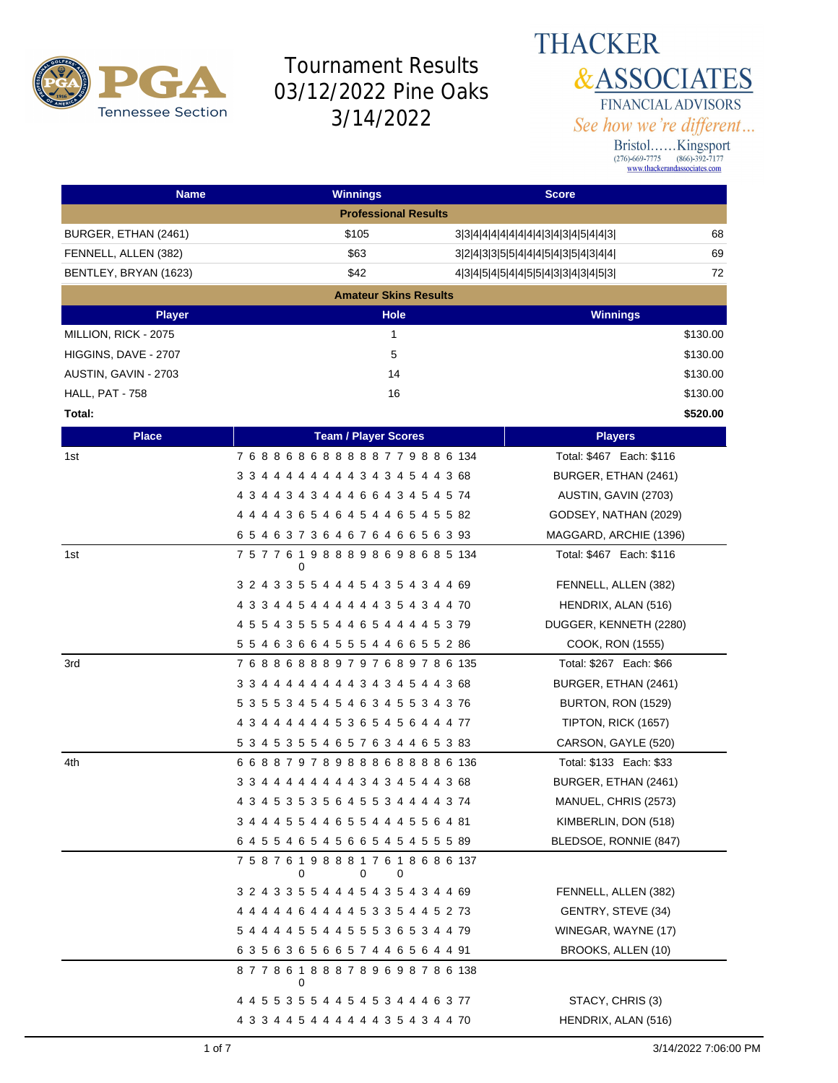

**THACKER &ASSOCIATES** FINANCIAL ADVISORS See how we're different...

| <b>Name</b>           | <b>Winnings</b>                                   | <b>Score</b>                        |                           |
|-----------------------|---------------------------------------------------|-------------------------------------|---------------------------|
|                       | <b>Professional Results</b>                       |                                     |                           |
| BURGER, ETHAN (2461)  | \$105                                             | 33444444444434345443                | 68                        |
| FENNELL, ALLEN (382)  | \$63                                              | 3 2 4 3 3 5 5 4 4 4 5 4 3 5 4 3 4 4 | 69                        |
| BENTLEY, BRYAN (1623) | \$42                                              | 4 3 4 5 4 5 4 4 5 5 4 3 3 4 3 4 5 3 | 72                        |
|                       | <b>Amateur Skins Results</b>                      |                                     |                           |
| <b>Player</b>         | <b>Hole</b>                                       |                                     | <b>Winnings</b>           |
| MILLION, RICK - 2075  | 1                                                 |                                     | \$130.00                  |
| HIGGINS, DAVE - 2707  | 5                                                 |                                     | \$130.00                  |
| AUSTIN, GAVIN - 2703  | 14                                                |                                     | \$130.00                  |
| HALL, PAT - 758       | 16                                                |                                     | \$130.00                  |
| Total:                |                                                   |                                     | \$520.00                  |
| <b>Place</b>          | <b>Team / Player Scores</b>                       |                                     | <b>Players</b>            |
| 1st                   | 768868688888779886134                             |                                     | Total: \$467 Each: \$116  |
|                       | 3 3 4 4 4 4 4 4 4 4 3 4 3 4 5 4 4 3 68            |                                     | BURGER, ETHAN (2461)      |
|                       | 4 3 4 4 3 4 3 4 4 4 6 6 4 3 4 5 4 5 74            |                                     | AUSTIN, GAVIN (2703)      |
|                       | 4 4 4 4 3 6 5 4 6 4 5 4 4 6 5 4 5 5 82            |                                     | GODSEY, NATHAN (2029)     |
|                       | 6 5 4 6 3 7 3 6 4 6 7 6 4 6 6 5 6 3 93            |                                     | MAGGARD, ARCHIE (1396)    |
| 1st                   | 757761988898698685134<br>$\Omega$                 |                                     | Total: \$467 Each: \$116  |
|                       | 3 2 4 3 3 5 5 4 4 4 5 4 3 5 4 3 4 4 69            |                                     | FENNELL, ALLEN (382)      |
|                       | 4 3 3 4 4 5 4 4 4 4 4 4 3 5 4 3 4 4 70            |                                     | HENDRIX, ALAN (516)       |
|                       | 4 5 5 4 3 5 5 5 4 4 6 5 4 4 4 4 5 3 79            |                                     | DUGGER, KENNETH (2280)    |
|                       | 5 5 4 6 3 6 6 4 5 5 5 4 4 6 6 5 5 2 86            |                                     | COOK, RON (1555)          |
| 3rd                   | 7 6 8 8 6 8 8 8 9 7 9 7 6 8 9 7 8 6 135           |                                     | Total: \$267 Each: \$66   |
|                       | 3 3 4 4 4 4 4 4 4 4 3 4 3 4 5 4 4 3 68            |                                     | BURGER, ETHAN (2461)      |
|                       | 5 3 5 5 3 4 5 4 5 4 6 3 4 5 5 3 4 3 76            |                                     | <b>BURTON, RON (1529)</b> |
|                       | 4 3 4 4 4 4 4 4 5 3 6 5 4 5 6 4 4 4 77            |                                     | TIPTON, RICK (1657)       |
|                       | 5 3 4 5 3 5 5 4 6 5 7 6 3 4 4 6 5 3 83            |                                     | CARSON, GAYLE (520)       |
| 4th                   | 668879789888688886136                             |                                     | Total: \$133 Each: \$33   |
|                       | 3 3 4 4 4 4 4 4 4 4 3 4 3 4 5 4 4 3 68            |                                     | BURGER, ETHAN (2461)      |
|                       | 4 3 4 5 3 5 3 5 6 4 5 5 3 4 4 4 4 3 74            |                                     | MANUEL, CHRIS (2573)      |
|                       | 3 4 4 4 5 5 4 4 6 5 5 4 4 4 5 5 6 4 81            |                                     | KIMBERLIN, DON (518)      |
|                       | 6 4 5 5 4 6 5 4 5 6 6 5 4 5 4 5 5 5 89            |                                     | BLEDSOE, RONNIE (847)     |
|                       | 7 5 8 7 6 1 9 8 8 8 1 7 6 1 8 6 8 6 137<br>0<br>0 |                                     |                           |
|                       | 3 2 4 3 3 5 5 4 4 4 5 4 3 5 4 3 4 4 69            |                                     | FENNELL, ALLEN (382)      |
|                       | 4 4 4 4 4 6 4 4 4 4 5 3 3 5 4 4 5 2 73            |                                     | GENTRY, STEVE (34)        |
|                       | 5 4 4 4 4 5 5 4 4 5 5 5 3 6 5 3 4 4 79            |                                     | WINEGAR, WAYNE (17)       |
|                       | 63563656657446564491                              |                                     | BROOKS, ALLEN (10)        |
|                       | 877861888789698786138<br>0                        |                                     |                           |
|                       | 4 4 5 5 3 5 5 4 4 5 4 5 3 4 4 4 6 3 77            |                                     | STACY, CHRIS (3)          |
|                       | 4 3 3 4 4 5 4 4 4 4 4 4 3 5 4 3 4 4 70            |                                     | HENDRIX, ALAN (516)       |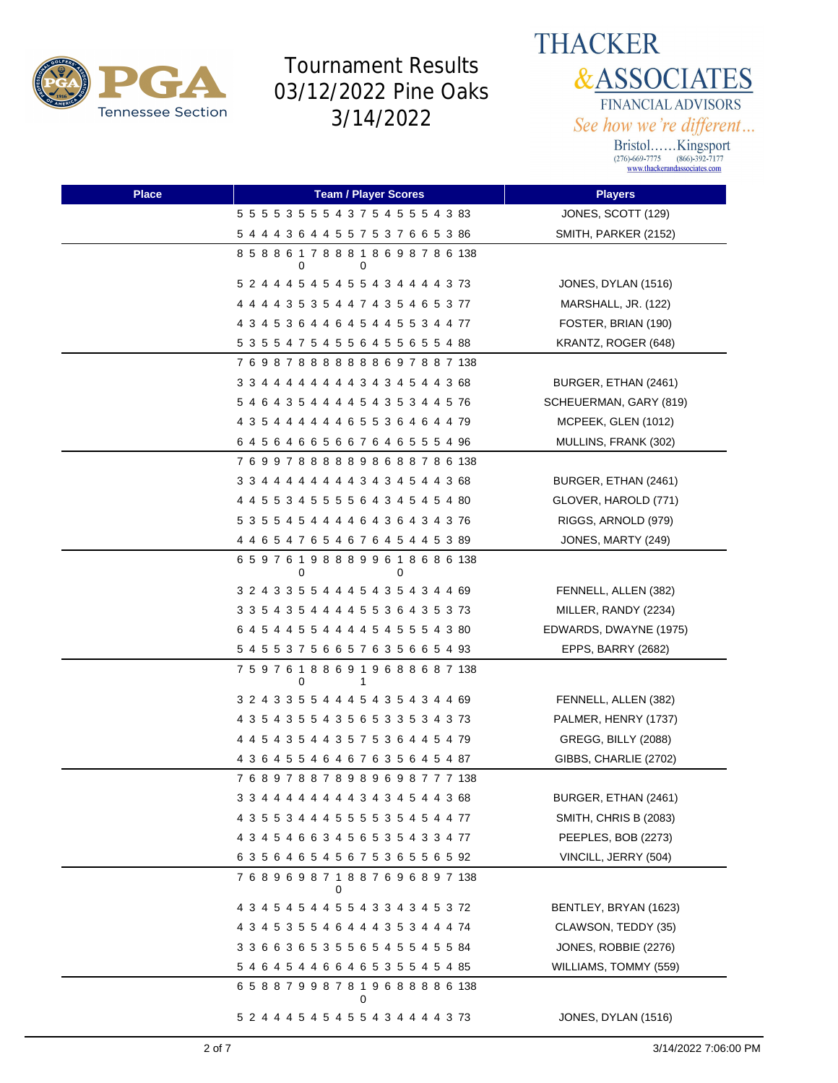



| <b>Place</b> | <b>Team / Player Scores</b>            | <b>Players</b>         |
|--------------|----------------------------------------|------------------------|
|              | 5 5 5 5 3 5 5 5 4 3 7 5 4 5 5 5 4 3 83 | JONES, SCOTT (129)     |
|              | 5 4 4 4 3 6 4 4 5 5 7 5 3 7 6 6 5 3 86 | SMITH, PARKER (2152)   |
|              | 858861788818698786138<br>0<br>0        |                        |
|              | 5 2 4 4 4 5 4 5 4 5 5 4 3 4 4 4 4 3 73 | JONES, DYLAN (1516)    |
|              | 4 4 4 4 3 5 3 5 4 4 7 4 3 5 4 6 5 3 77 | MARSHALL, JR. (122)    |
|              | 4 3 4 5 3 6 4 4 6 4 5 4 4 5 5 3 4 4 77 | FOSTER, BRIAN (190)    |
|              | 5 3 5 5 4 7 5 4 5 5 6 4 5 5 6 5 5 4 88 | KRANTZ, ROGER (648)    |
|              | 769878888888697887138                  |                        |
|              | 3 3 4 4 4 4 4 4 4 4 3 4 3 4 5 4 4 3 68 | BURGER, ETHAN (2461)   |
|              | 5 4 6 4 3 5 4 4 4 4 5 4 3 5 3 4 4 5 76 | SCHEUERMAN, GARY (819) |
|              | 4 3 5 4 4 4 4 4 4 6 5 5 3 6 4 6 4 4 79 | MCPEEK, GLEN (1012)    |
|              | 64564665667646555496                   | MULLINS, FRANK (302)   |
|              | 769978888898688786138                  |                        |
|              | 3 3 4 4 4 4 4 4 4 4 3 4 3 4 5 4 4 3 68 | BURGER, ETHAN (2461)   |
|              | 4 4 5 5 3 4 5 5 5 5 6 4 3 4 5 4 5 4 80 | GLOVER, HAROLD (771)   |
|              | 5 3 5 5 4 5 4 4 4 4 6 4 3 6 4 3 4 3 76 | RIGGS, ARNOLD (979)    |
|              | 4 4 6 5 4 7 6 5 4 6 7 6 4 5 4 4 5 3 89 | JONES, MARTY (249)     |
|              | 659761988899618686138<br>0<br>0        |                        |
|              | 3 2 4 3 3 5 5 4 4 4 5 4 3 5 4 3 4 4 69 | FENNELL, ALLEN (382)   |
|              | 3 3 5 4 3 5 4 4 4 4 5 5 3 6 4 3 5 3 73 | MILLER, RANDY (2234)   |
|              | 6 4 5 4 4 5 5 4 4 4 4 5 4 5 5 5 4 3 80 | EDWARDS, DWAYNE (1975) |
|              | 5 4 5 5 3 7 5 6 6 5 7 6 3 5 6 6 5 4 93 | EPPS, BARRY (2682)     |
|              | 759761886919688687138<br>0<br>1        |                        |
|              | 3 2 4 3 3 5 5 4 4 4 5 4 3 5 4 3 4 4 69 | FENNELL, ALLEN (382)   |
|              | 4 3 5 4 3 5 5 4 3 5 6 5 3 3 5 3 4 3 73 | PALMER, HENRY (1737)   |
|              | 4 4 5 4 3 5 4 4 3 5 7 5 3 6 4 4 5 4 79 | GREGG, BILLY (2088)    |
|              | 4 3 6 4 5 5 4 6 4 6 7 6 3 5 6 4 5 4 87 | GIBBS, CHARLIE (2702)  |
|              | 768978878989698777138                  |                        |
|              | 3 3 4 4 4 4 4 4 4 4 3 4 3 4 5 4 4 3 68 | BURGER, ETHAN (2461)   |
|              | 4 3 5 5 3 4 4 4 5 5 5 5 3 5 4 5 4 4 77 | SMITH, CHRIS B (2083)  |
|              | 4 3 4 5 4 6 6 3 4 5 6 5 3 5 4 3 3 4 77 | PEEPLES, BOB (2273)    |
|              | 6 3 5 6 4 6 5 4 5 6 7 5 3 6 5 5 6 5 92 | VINCILL, JERRY (504)   |
|              | 768969871887696897138                  |                        |
|              | 4 3 4 5 4 5 4 4 5 5 4 3 3 4 3 4 5 3 72 | BENTLEY, BRYAN (1623)  |
|              | 4 3 4 5 3 5 5 4 6 4 4 4 3 5 3 4 4 4 74 | CLAWSON, TEDDY (35)    |
|              | 3 3 6 6 3 6 5 3 5 5 6 5 4 5 5 4 5 5 84 | JONES, ROBBIE (2276)   |
|              | 5 4 6 4 5 4 4 6 6 4 6 5 3 5 5 4 5 4 85 | WILLIAMS, TOMMY (559)  |
|              | 658879987819688886138<br>0             |                        |
|              | 5 2 4 4 4 5 4 5 4 5 5 4 3 4 4 4 4 3 73 | JONES, DYLAN (1516)    |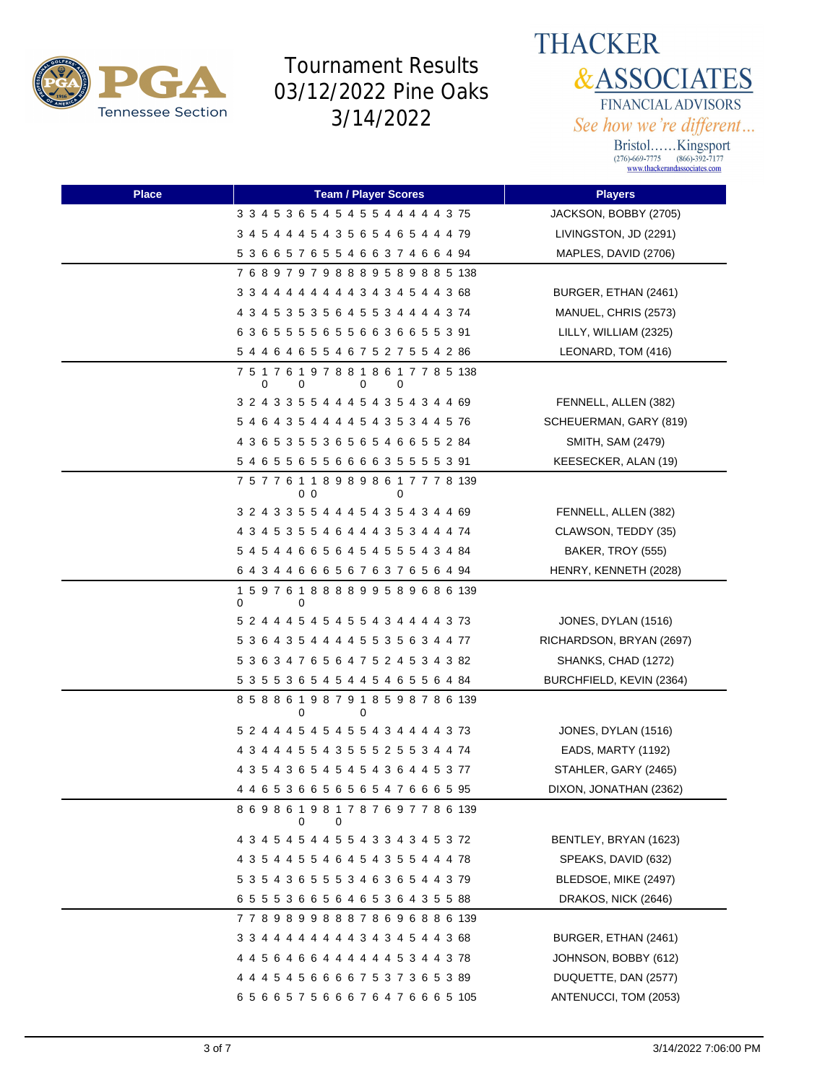



| <b>Place</b> | <b>Team / Player Scores</b>                                 | <b>Players</b>           |
|--------------|-------------------------------------------------------------|--------------------------|
|              | 3 3 4 5 3 6 5 4 5 4 5 5 4 4 4 4 4 3 75                      | JACKSON, BOBBY (2705)    |
|              | 3 4 5 4 4 4 5 4 3 5 6 5 4 6 5 4 4 4 79                      | LIVINGSTON, JD (2291)    |
|              | 5 3 6 6 5 7 6 5 5 4 6 6 3 7 4 6 6 4 94                      | MAPLES, DAVID (2706)     |
|              | 768979798889589885138                                       |                          |
|              | 3 3 4 4 4 4 4 4 4 4 3 4 3 4 5 4 4 3 68                      | BURGER, ETHAN (2461)     |
|              | 4 3 4 5 3 5 3 5 6 4 5 5 3 4 4 4 4 3 74                      | MANUEL, CHRIS (2573)     |
|              | 63655556556636655391                                        | LILLY, WILLIAM (2325)    |
|              | 5 4 4 6 4 6 5 5 4 6 7 5 2 7 5 5 4 2 86                      | LEONARD, TOM (416)       |
|              | 7 5 1 7 6 1 9 7 8 8 1 8 6 1 7 7 8 5 138<br>0<br>0<br>0<br>0 |                          |
|              | 3 2 4 3 3 5 5 4 4 4 5 4 3 5 4 3 4 4 69                      | FENNELL, ALLEN (382)     |
|              | 5 4 6 4 3 5 4 4 4 4 5 4 3 5 3 4 4 5 76                      | SCHEUERMAN, GARY (819)   |
|              | 4 3 6 5 3 5 5 3 6 5 6 5 4 6 6 5 5 2 84                      | SMITH, SAM (2479)        |
|              | 5 4 6 5 5 6 5 5 6 6 6 6 6 3 5 5 5 5 3 91                    | KEESECKER, ALAN (19)     |
|              | 7 5 7 7 6 1 1 8 9 8 9 8 6 1 7 7 7 8 139<br>00<br>0          |                          |
|              | 3 2 4 3 3 5 5 4 4 4 5 4 3 5 4 3 4 4 69                      | FENNELL, ALLEN (382)     |
|              | 4 3 4 5 3 5 5 4 6 4 4 4 3 5 3 4 4 4 74                      | CLAWSON, TEDDY (35)      |
|              | 5 4 5 4 4 6 6 5 6 4 5 4 5 5 5 4 3 4 84                      | BAKER, TROY (555)        |
|              | 6 4 3 4 4 6 6 6 5 6 7 6 3 7 6 5 6 4 94                      | HENRY, KENNETH (2028)    |
|              | 159761888899589686139<br>0<br>0                             |                          |
|              | 5 2 4 4 4 5 4 5 4 5 5 4 3 4 4 4 4 3 73                      | JONES, DYLAN (1516)      |
|              | 5 3 6 4 3 5 4 4 4 4 5 5 3 5 6 3 4 4 77                      | RICHARDSON, BRYAN (2697) |
|              | 5 3 6 3 4 7 6 5 6 4 7 5 2 4 5 3 4 3 82                      | SHANKS, CHAD (1272)      |
|              | 5 3 5 5 3 6 5 4 5 4 4 5 4 6 5 5 6 4 84                      | BURCHFIELD, KEVIN (2364) |
|              | 8 5 8 8 6 1 9 8 7 9 1 8 5 9 8 7 8 6 139<br>$\Omega$<br>0    |                          |
|              | 5 2 4 4 4 5 4 5 4 5 5 4 3 4 4 4 4 3 73                      | JONES, DYLAN (1516)      |
|              | 4 3 4 4 4 5 5 4 3 5 5 5 2 5 5 3 4 4 74                      | EADS, MARTY (1192)       |
|              | 4 3 5 4 3 6 5 4 5 4 5 4 3 6 4 4 5 3 77                      | STAHLER, GARY (2465)     |
|              |                                                             | DIXON, JONATHAN (2362)   |
|              | 8 6 9 8 6 1 9 8 1 7 8 7 6 9 7 7 8 6 139<br>0<br>0           |                          |
|              | 4 3 4 5 4 5 4 4 5 5 4 3 3 4 3 4 5 3 72                      | BENTLEY, BRYAN (1623)    |
|              | 4 3 5 4 4 5 5 4 6 4 5 4 3 5 5 4 4 4 78                      | SPEAKS, DAVID (632)      |
|              | 5 3 5 4 3 6 5 5 5 3 4 6 3 6 5 4 4 3 79                      | BLEDSOE, MIKE (2497)     |
|              | 6 5 5 5 3 6 6 5 6 4 6 5 3 6 4 3 5 5 88                      | DRAKOS, NICK (2646)      |
|              | 778989988878696886139                                       |                          |
|              | 3 3 4 4 4 4 4 4 4 4 3 4 3 4 5 4 4 3 68                      | BURGER, ETHAN (2461)     |
|              | 4 4 5 6 4 6 6 4 4 4 4 4 4 5 3 4 4 3 78                      | JOHNSON, BOBBY (612)     |
|              | 4 4 4 5 4 5 6 6 6 6 7 5 3 7 3 6 5 3 89                      | DUQUETTE, DAN (2577)     |
|              | 6 5 6 6 5 7 5 6 6 6 7 6 4 7 6 6 6 5 105                     | ANTENUCCI, TOM (2053)    |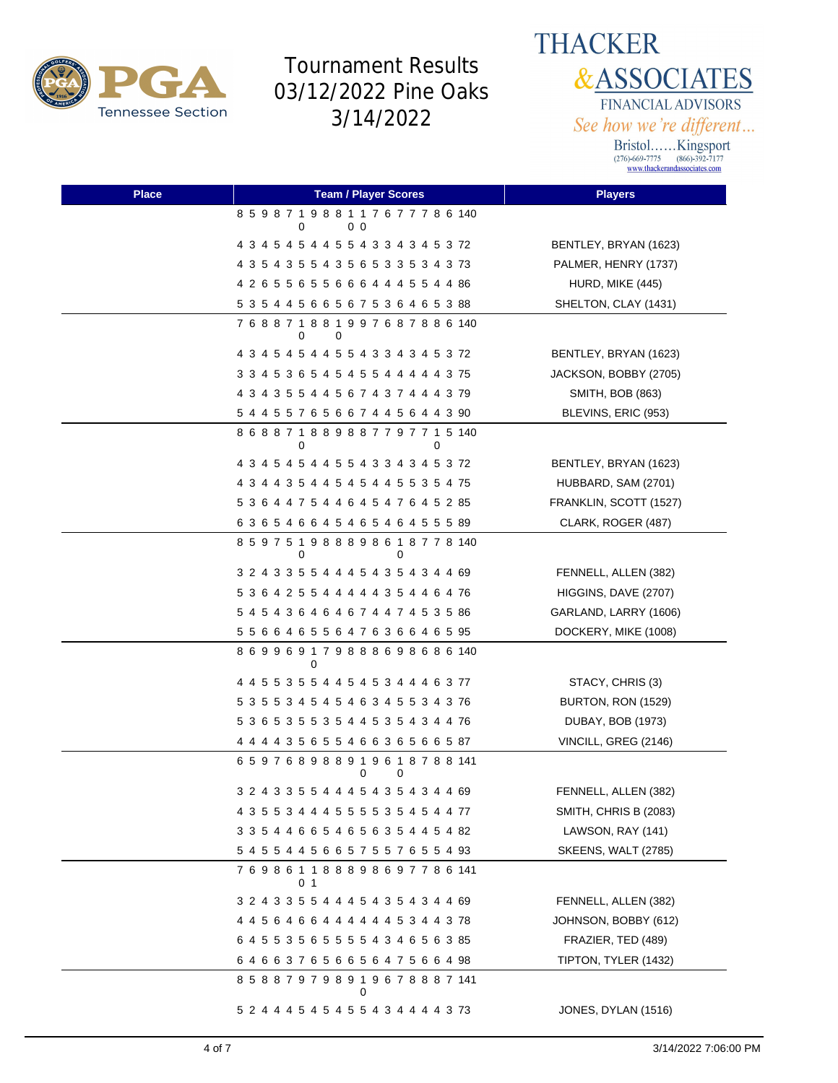

**THACKER &ASSOCIATES** FINANCIAL ADVISORS See how we're different...

| <b>Place</b> | <b>Team / Player Scores</b>                        | <b>Players</b>             |
|--------------|----------------------------------------------------|----------------------------|
|              | 8 5 9 8 7 1 9 8 8 1 1 7 6 7 7 7 8 6 140<br>0<br>00 |                            |
|              | 4 3 4 5 4 5 4 4 5 5 4 3 3 4 3 4 5 3 72             | BENTLEY, BRYAN (1623)      |
|              | 4 3 5 4 3 5 5 4 3 5 6 5 3 3 5 3 4 3 73             | PALMER, HENRY (1737)       |
|              | 4 2 6 5 5 6 5 5 6 6 6 4 4 4 5 5 4 4 86             | HURD, MIKE (445)           |
|              | 5 3 5 4 4 5 6 6 5 6 7 5 3 6 4 6 5 3 88             | SHELTON, CLAY (1431)       |
|              | 7 6 8 8 7 1 8 8 1 9 9 7 6 8 7 8 8 6 140<br>0<br>0  |                            |
|              | 4 3 4 5 4 5 4 4 5 5 4 3 3 4 3 4 5 3 72             | BENTLEY, BRYAN (1623)      |
|              | 3 3 4 5 3 6 5 4 5 4 5 5 4 4 4 4 4 3 75             | JACKSON, BOBBY (2705)      |
|              | 4 3 4 3 5 5 4 4 5 6 7 4 3 7 4 4 4 3 79             | SMITH, BOB (863)           |
|              | 5 4 4 5 5 7 6 5 6 6 7 4 4 5 6 4 4 3 90             | BLEVINS, ERIC (953)        |
|              | 8 6 8 8 7 1 8 8 9 8 8 7 7 9 7 7 1 5 140<br>0<br>0  |                            |
|              | 4 3 4 5 4 5 4 4 5 5 4 3 3 4 3 4 5 3 72             | BENTLEY, BRYAN (1623)      |
|              | 4 3 4 4 3 5 4 4 5 4 5 4 4 5 5 3 5 4 75             | HUBBARD, SAM (2701)        |
|              | 5 3 6 4 4 7 5 4 4 6 4 5 4 7 6 4 5 2 85             | FRANKLIN, SCOTT (1527)     |
|              | 6 3 6 5 4 6 6 4 5 4 6 5 4 6 4 5 5 5 89             | CLARK, ROGER (487)         |
|              | 8 5 9 7 5 1 9 8 8 8 9 8 6 1 8 7 7 8 140<br>0<br>0  |                            |
|              | 3 2 4 3 3 5 5 4 4 4 5 4 3 5 4 3 4 4 69             | FENNELL, ALLEN (382)       |
|              | 5 3 6 4 2 5 5 4 4 4 4 4 3 5 4 4 6 4 76             | HIGGINS, DAVE (2707)       |
|              | 5 4 5 4 3 6 4 6 4 6 7 4 4 7 4 5 3 5 86             | GARLAND, LARRY (1606)      |
|              | 5 5 6 6 4 6 5 5 6 4 7 6 3 6 6 4 6 5 95             | DOCKERY, MIKE (1008)       |
|              | 869969179888698686140<br>0                         |                            |
|              | 4 4 5 5 3 5 5 4 4 5 4 5 3 4 4 4 6 3 77             | STACY, CHRIS (3)           |
|              | 5 3 5 5 3 4 5 4 5 4 6 3 4 5 5 3 4 3 76             | BURTON, RON (1529)         |
|              | 5 3 6 5 3 5 5 3 5 4 4 5 3 5 4 3 4 4 76             | DUBAY, BOB (1973)          |
|              | 4 4 4 4 3 5 6 5 5 4 6 6 3 6 5 6 6 5 87             | VINCILL, GREG (2146)       |
|              | 659768988919618788141<br>0<br>0                    |                            |
|              | 3 2 4 3 3 5 5 4 4 4 5 4 3 5 4 3 4 4 69             | FENNELL, ALLEN (382)       |
|              | 4 3 5 5 3 4 4 4 5 5 5 5 3 5 4 5 4 4 77             | SMITH, CHRIS B (2083)      |
|              | 3 3 5 4 4 6 6 5 4 6 5 6 3 5 4 4 5 4 82             | LAWSON, RAY (141)          |
|              | 5 4 5 5 4 4 5 6 6 5 7 5 5 7 6 5 5 4 93             | <b>SKEENS, WALT (2785)</b> |
|              | 769861188898697786141<br>0 1                       |                            |
|              | 3 2 4 3 3 5 5 4 4 4 5 4 3 5 4 3 4 4 69             | FENNELL, ALLEN (382)       |
|              | 4 4 5 6 4 6 6 4 4 4 4 4 4 5 3 4 4 3 78             | JOHNSON, BOBBY (612)       |
|              | 6 4 5 5 3 5 6 5 5 5 5 4 3 4 6 5 6 3 85             | FRAZIER, TED (489)         |
|              | 6 4 6 6 3 7 6 5 6 6 5 6 4 7 5 6 6 4 98             | TIPTON, TYLER (1432)       |
|              | 8 5 8 8 7 9 7 9 8 9 1 9 6 7 8 8 8 7 141<br>0       |                            |
|              | 5 2 4 4 4 5 4 5 4 5 5 4 3 4 4 4 4 3 73             | JONES, DYLAN (1516)        |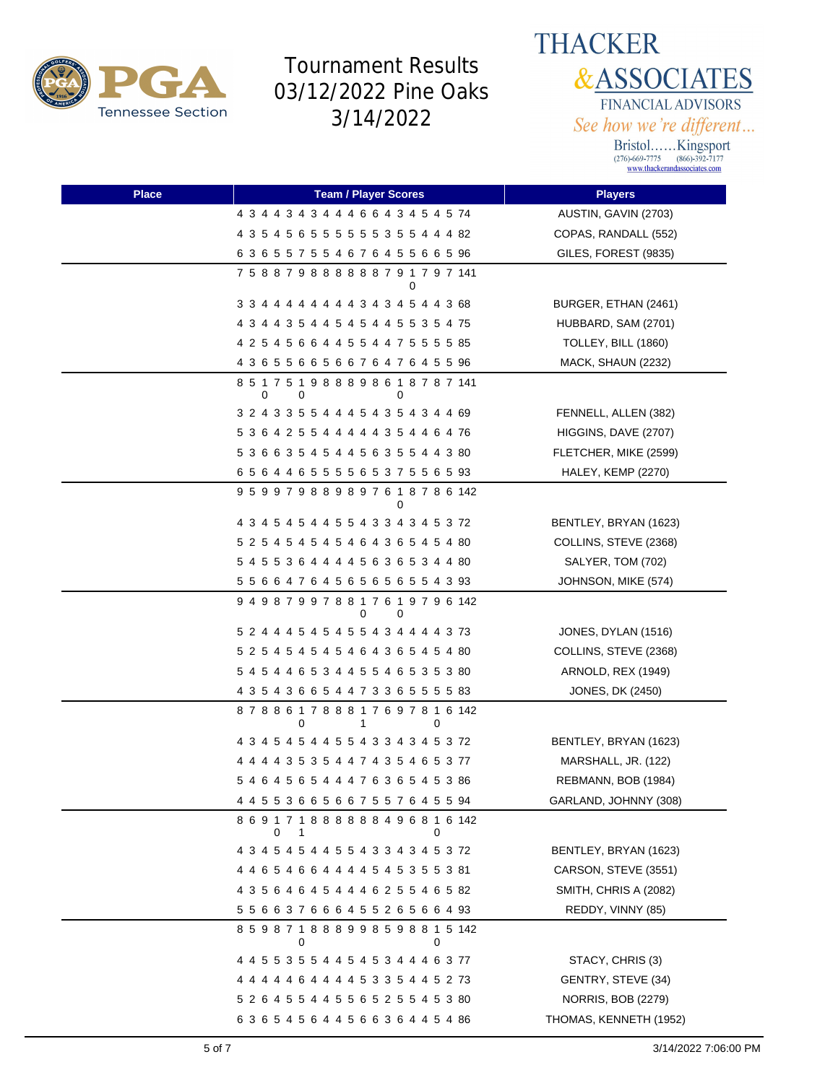



| <b>Place</b> | <b>Team / Player Scores</b>                            | <b>Players</b>            |
|--------------|--------------------------------------------------------|---------------------------|
|              | 4 3 4 4 3 4 3 4 4 4 6 6 4 3 4 5 4 5 74                 | AUSTIN, GAVIN (2703)      |
|              | 4 3 5 4 5 6 5 5 5 5 5 5 5 3 5 5 4 4 4 82               | COPAS, RANDALL (552)      |
|              | 63655755467645566596                                   | GILES, FOREST (9835)      |
|              | 7 5 8 8 7 9 8 8 8 8 8 8 7 9 1 7 9 7 141<br>0           |                           |
|              | 3 3 4 4 4 4 4 4 4 4 3 4 3 4 5 4 4 3 68                 | BURGER, ETHAN (2461)      |
|              | 4 3 4 4 3 5 4 4 5 4 5 4 4 5 5 3 5 4 75                 | HUBBARD, SAM (2701)       |
|              | 4 2 5 4 5 6 6 4 4 5 5 4 4 7 5 5 5 5 85                 | TOLLEY, BILL (1860)       |
|              | 4 3 6 5 5 6 6 5 6 6 7 6 4 7 6 4 5 5 96                 | MACK, SHAUN (2232)        |
|              | 8 5 1 7 5 1 9 8 8 8 9 8 6 1 8 7 8 7 141<br>0<br>0<br>0 |                           |
|              | 3 2 4 3 3 5 5 4 4 4 5 4 3 5 4 3 4 4 69                 | FENNELL, ALLEN (382)      |
|              | 5 3 6 4 2 5 5 4 4 4 4 4 3 5 4 4 6 4 76                 | HIGGINS, DAVE (2707)      |
|              | 5 3 6 6 3 5 4 5 4 4 5 6 3 5 5 4 4 3 80                 | FLETCHER, MIKE (2599)     |
|              | 6 5 6 4 4 6 5 5 5 5 6 5 3 7 5 5 6 5 93                 | HALEY, KEMP (2270)        |
|              | 9 5 9 9 7 9 8 8 9 8 9 7 6 1 8 7 8 6 142                |                           |
|              | 4 3 4 5 4 5 4 4 5 5 4 3 3 4 3 4 5 3 72                 | BENTLEY, BRYAN (1623)     |
|              | 5 2 5 4 5 4 5 4 5 4 6 4 3 6 5 4 5 4 80                 | COLLINS, STEVE (2368)     |
|              | 5 4 5 5 3 6 4 4 4 4 5 6 3 6 5 3 4 4 80                 | SALYER, TOM (702)         |
|              | 5 5 6 6 4 7 6 4 5 6 5 6 5 6 5 5 4 3 93                 | JOHNSON, MIKE (574)       |
|              | 9 4 9 8 7 9 9 7 8 8 1 7 6 1 9 7 9 6 142<br>0<br>0      |                           |
|              | 5 2 4 4 4 5 4 5 4 5 5 4 3 4 4 4 4 3 73                 | JONES, DYLAN (1516)       |
|              | 5 2 5 4 5 4 5 4 5 4 6 4 3 6 5 4 5 4 80                 | COLLINS, STEVE (2368)     |
|              | 5 4 5 4 4 6 5 3 4 4 5 5 4 6 5 3 5 3 80                 | ARNOLD, REX (1949)        |
|              | 4 3 5 4 3 6 6 5 4 4 7 3 3 6 5 5 5 5 8 8 3              | JONES, DK (2450)          |
|              | 878861788817697816142<br>0<br>0<br>1                   |                           |
|              | 4 3 4 5 4 5 4 4 5 5 4 3 3 4 3 4 5 3 72                 | BENTLEY, BRYAN (1623)     |
|              | 4 4 4 4 3 5 3 5 4 4 7 4 3 5 4 6 5 3 77                 | MARSHALL, JR. (122)       |
|              | 5 4 6 4 5 6 5 4 4 4 7 6 3 6 5 4 5 3 86                 | REBMANN, BOB (1984)       |
|              | 4 4 5 5 3 6 6 5 6 6 7 5 5 7 6 4 5 5 94                 | GARLAND, JOHNNY (308)     |
|              | 8 6 9 1 7 1 8 8 8 8 8 8 4 9 6 8 1 6 142<br>0<br>1<br>0 |                           |
|              | 4 3 4 5 4 5 4 4 5 5 4 3 3 4 3 4 5 3 72                 | BENTLEY, BRYAN (1623)     |
|              | 4 4 6 5 4 6 6 4 4 4 4 5 4 5 3 5 5 3 81                 | CARSON, STEVE (3551)      |
|              | 4 3 5 6 4 6 4 5 4 4 4 6 2 5 5 4 6 5 82                 | SMITH, CHRIS A (2082)     |
|              | 5 5 6 6 3 7 6 6 6 4 5 5 2 6 5 6 6 4 93                 | REDDY, VINNY (85)         |
|              | 859871888998598815142<br>0<br>0                        |                           |
|              | 4 4 5 5 3 5 5 4 4 5 4 5 3 4 4 4 6 3 77                 | STACY, CHRIS (3)          |
|              | 4 4 4 4 4 6 4 4 4 4 5 3 3 5 4 4 5 2 73                 | GENTRY, STEVE (34)        |
|              | 5 2 6 4 5 5 4 4 5 5 6 5 2 5 5 4 5 3 80                 | <b>NORRIS, BOB (2279)</b> |
|              | 6 3 6 5 4 5 6 4 4 5 6 6 3 6 4 4 5 4 86                 | THOMAS, KENNETH (1952)    |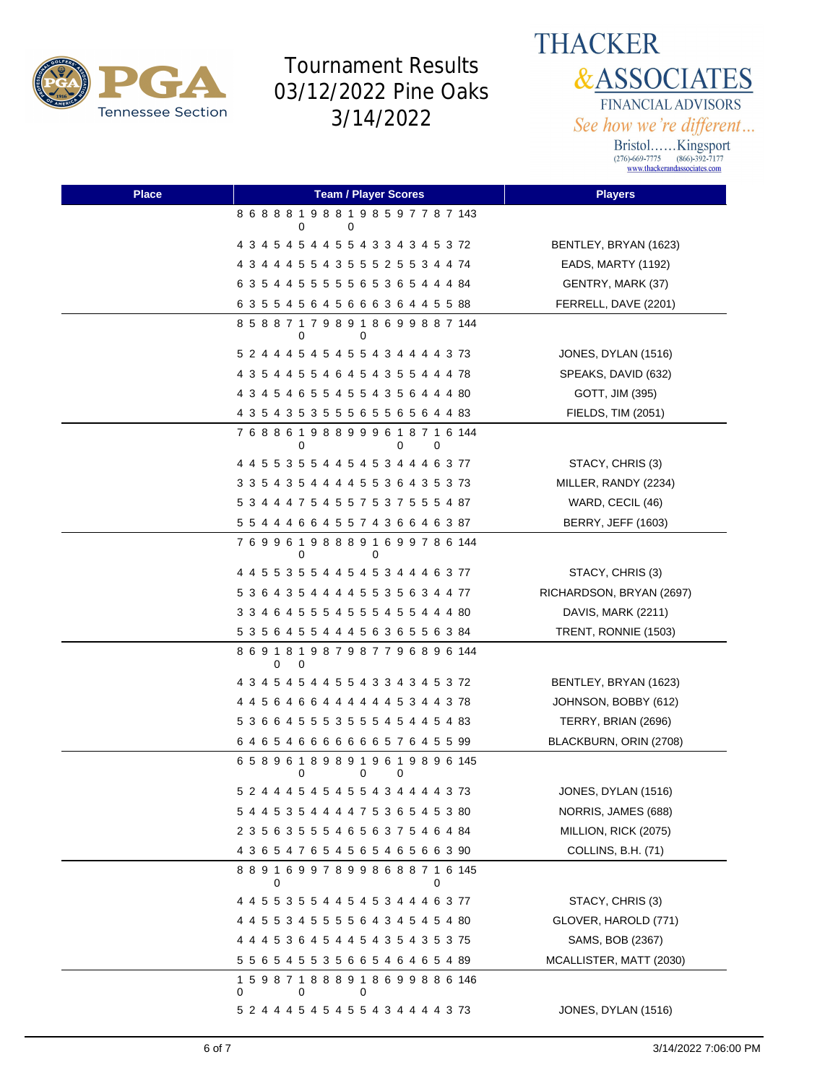

**THACKER &ASSOCIATES** FINANCIAL ADVISORS See how we're different...

| <b>Place</b> | <b>Team / Player Scores</b>                            | <b>Players</b>            |
|--------------|--------------------------------------------------------|---------------------------|
|              | 8 6 8 8 8 1 9 8 8 1 9 8 5 9 7 7 8 7 143<br>0<br>0      |                           |
|              | 4 3 4 5 4 5 4 4 5 5 4 3 3 4 3 4 5 3 72                 | BENTLEY, BRYAN (1623)     |
|              | 4 3 4 4 4 5 5 4 3 5 5 5 2 5 5 3 4 4 74                 | EADS, MARTY (1192)        |
|              | 6 3 5 4 4 5 5 5 5 5 6 5 3 6 5 4 4 4 84                 | GENTRY, MARK (37)         |
|              | 6 3 5 5 4 5 6 4 5 6 6 6 3 6 4 4 5 5 88                 | FERRELL, DAVE (2201)      |
|              | 8 5 8 8 7 1 7 9 8 9 1 8 6 9 9 8 8 7 144<br>0<br>0      |                           |
|              | 5 2 4 4 4 5 4 5 4 5 5 4 3 4 4 4 4 3 73                 | JONES, DYLAN (1516)       |
|              | 4 3 5 4 4 5 5 4 6 4 5 4 3 5 5 4 4 4 78                 | SPEAKS, DAVID (632)       |
|              | 4 3 4 5 4 6 5 5 4 5 5 4 3 5 6 4 4 4 80                 | GOTT, JIM (395)           |
|              | 4 3 5 4 3 5 3 5 5 5 6 6 5 6 6 6 6 4 4 83               | FIELDS, TIM (2051)        |
|              | 7 6 8 8 6 1 9 8 8 9 9 9 6 1 8 7 1 6 144<br>0<br>0<br>0 |                           |
|              | 4 4 5 5 3 5 5 4 4 5 4 5 3 4 4 4 6 3 77                 | STACY, CHRIS (3)          |
|              | 3 3 5 4 3 5 4 4 4 4 5 5 3 6 4 3 5 3 73                 | MILLER, RANDY (2234)      |
|              | 5 3 4 4 4 7 5 4 5 5 7 5 3 7 5 5 5 4 87                 | WARD, CECIL (46)          |
|              | 5 5 4 4 4 6 6 4 5 5 7 4 3 6 6 4 6 3 87                 | <b>BERRY, JEFF (1603)</b> |
|              | 769961988891699786144<br>0<br>0                        |                           |
|              | 4 4 5 5 3 5 5 4 4 5 4 5 3 4 4 4 6 3 77                 | STACY, CHRIS (3)          |
|              | 5 3 6 4 3 5 4 4 4 4 5 5 3 5 6 3 4 4 77                 | RICHARDSON, BRYAN (2697)  |
|              | 3 3 4 6 4 5 5 5 4 5 5 5 4 5 5 4 4 4 80                 | DAVIS, MARK (2211)        |
|              | 5 3 5 6 4 5 5 4 4 4 5 6 3 6 5 5 6 3 84                 | TRENT, RONNIE (1503)      |
|              | 8 6 9 1 8 1 9 8 7 9 8 7 7 9 6 8 9 6 144<br>0<br>0      |                           |
|              | 4 3 4 5 4 5 4 4 5 5 4 3 3 4 3 4 5 3 72                 | BENTLEY, BRYAN (1623)     |
|              | 4 4 5 6 4 6 6 4 4 4 4 4 4 5 3 4 4 3 78                 | JOHNSON, BOBBY (612)      |
|              | 5 3 6 6 4 5 5 5 3 5 5 5 4 5 4 4 5 4 83                 | TERRY, BRIAN (2696)       |
|              | 64654666666657645599                                   | BLACKBURN, ORIN (2708)    |
|              | 658961898919619896145<br>0<br>0<br>0                   |                           |
|              | 5 2 4 4 4 5 4 5 4 5 5 4 3 4 4 4 4 3 73                 | JONES, DYLAN (1516)       |
|              | 5 4 4 5 3 5 4 4 4 4 7 5 3 6 5 4 5 3 80                 | NORRIS, JAMES (688)       |
|              | 2 3 5 6 3 5 5 5 4 6 5 6 3 7 5 4 6 4 84                 | MILLION, RICK (2075)      |
|              | 4 3 6 5 4 7 6 5 4 5 6 5 4 6 5 6 6 3 90                 | COLLINS, B.H. (71)        |
|              | 889169978998688716145<br>0<br>0                        |                           |
|              | 4 4 5 5 3 5 5 4 4 5 4 5 3 4 4 4 6 3 77                 | STACY, CHRIS (3)          |
|              | 4 4 5 5 3 4 5 5 5 5 6 4 3 4 5 4 5 4 80                 | GLOVER, HAROLD (771)      |
|              | 4 4 4 5 3 6 4 5 4 4 5 4 3 5 4 3 5 3 75                 | SAMS, BOB (2367)          |
|              | 5 5 6 5 4 5 5 3 5 6 6 5 4 6 4 6 5 4 89                 | MCALLISTER, MATT (2030)   |
|              | 159871888918699886146<br>0<br>0<br>0                   |                           |
|              | 5 2 4 4 4 5 4 5 4 5 5 4 3 4 4 4 4 3 73                 | JONES, DYLAN (1516)       |